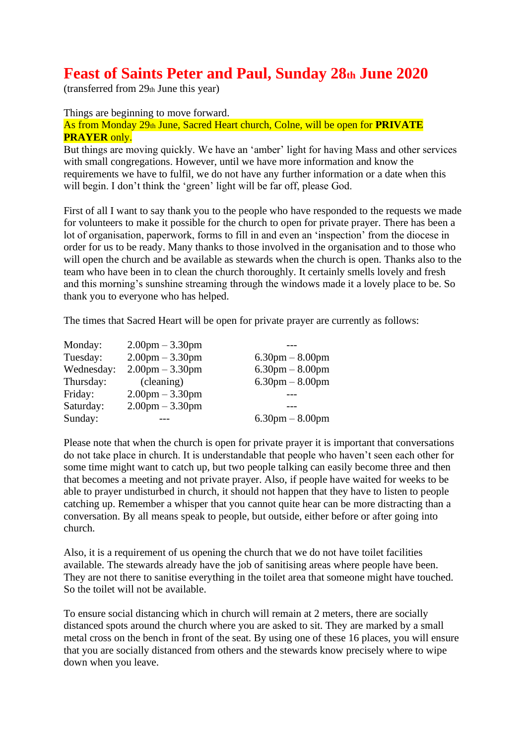# **Feast of Saints Peter and Paul, Sunday 28th June 2020**

(transferred from 29th June this year)

Things are beginning to move forward.

As from Monday 29th June, Sacred Heart church, Colne, will be open for **PRIVATE PRAYER** only.

But things are moving quickly. We have an 'amber' light for having Mass and other services with small congregations. However, until we have more information and know the requirements we have to fulfil, we do not have any further information or a date when this will begin. I don't think the 'green' light will be far off, please God.

First of all I want to say thank you to the people who have responded to the requests we made for volunteers to make it possible for the church to open for private prayer. There has been a lot of organisation, paperwork, forms to fill in and even an 'inspection' from the diocese in order for us to be ready. Many thanks to those involved in the organisation and to those who will open the church and be available as stewards when the church is open. Thanks also to the team who have been in to clean the church thoroughly. It certainly smells lovely and fresh and this morning's sunshine streaming through the windows made it a lovely place to be. So thank you to everyone who has helped.

The times that Sacred Heart will be open for private prayer are currently as follows:

| $2.00 \text{pm} - 3.30 \text{pm}$ |                                   |
|-----------------------------------|-----------------------------------|
| $2.00$ pm $-3.30$ pm              | $6.30$ pm $-8.00$ pm              |
| $2.00$ pm $-3.30$ pm              | $6.30$ pm $-8.00$ pm              |
| (cleaning)                        | $6.30$ pm $-8.00$ pm              |
| $2.00 \text{pm} - 3.30 \text{pm}$ |                                   |
| $2.00 \text{pm} - 3.30 \text{pm}$ |                                   |
|                                   | $6.30 \text{pm} - 8.00 \text{pm}$ |
|                                   |                                   |

Please note that when the church is open for private prayer it is important that conversations do not take place in church. It is understandable that people who haven't seen each other for some time might want to catch up, but two people talking can easily become three and then that becomes a meeting and not private prayer. Also, if people have waited for weeks to be able to prayer undisturbed in church, it should not happen that they have to listen to people catching up. Remember a whisper that you cannot quite hear can be more distracting than a conversation. By all means speak to people, but outside, either before or after going into church.

Also, it is a requirement of us opening the church that we do not have toilet facilities available. The stewards already have the job of sanitising areas where people have been. They are not there to sanitise everything in the toilet area that someone might have touched. So the toilet will not be available.

To ensure social distancing which in church will remain at 2 meters, there are socially distanced spots around the church where you are asked to sit. They are marked by a small metal cross on the bench in front of the seat. By using one of these 16 places, you will ensure that you are socially distanced from others and the stewards know precisely where to wipe down when you leave.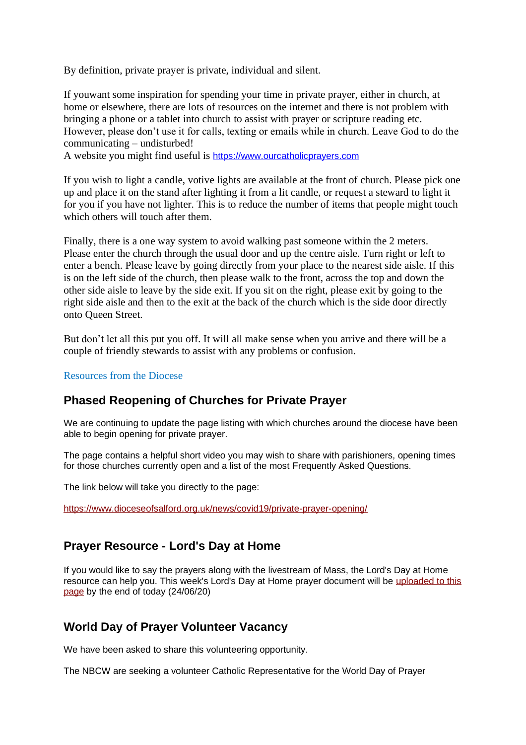By definition, private prayer is private, individual and silent.

If youwant some inspiration for spending your time in private prayer, either in church, at home or elsewhere, there are lots of resources on the internet and there is not problem with bringing a phone or a tablet into church to assist with prayer or scripture reading etc. However, please don't use it for calls, texting or emails while in church. Leave God to do the communicating – undisturbed!

A website you might find useful is [https://www.ourcatholicprayers.com](https://www.ourcatholicprayers.com/)

If you wish to light a candle, votive lights are available at the front of church. Please pick one up and place it on the stand after lighting it from a lit candle, or request a steward to light it for you if you have not lighter. This is to reduce the number of items that people might touch which others will touch after them.

Finally, there is a one way system to avoid walking past someone within the 2 meters. Please enter the church through the usual door and up the centre aisle. Turn right or left to enter a bench. Please leave by going directly from your place to the nearest side aisle. If this is on the left side of the church, then please walk to the front, across the top and down the other side aisle to leave by the side exit. If you sit on the right, please exit by going to the right side aisle and then to the exit at the back of the church which is the side door directly onto Queen Street.

But don't let all this put you off. It will all make sense when you arrive and there will be a couple of friendly stewards to assist with any problems or confusion.

Resources from the Diocese

#### **Phased Reopening of Churches for Private Prayer**

We are continuing to update the page listing with which churches around the diocese have been able to begin opening for private prayer.

The page contains a helpful short video you may wish to share with parishioners, opening times for those churches currently open and a list of the most Frequently Asked Questions.

The link below will take you directly to the page:

[https://www.dioceseofsalford.org.uk/news/covid19/private-prayer-opening/](https://dioceseofsalford.us6.list-manage.com/track/click?u=76e219dab8653b775ba8aac4c&id=cbd6825f91&e=5ce69633f0)

## **Prayer Resource - Lord's Day at Home**

If you would like to say the prayers along with the livestream of Mass, the Lord's Day at Home resource can help you. This week's Lord's Day at Home prayer document will be [uploaded to this](https://dioceseofsalford.us6.list-manage.com/track/click?u=76e219dab8653b775ba8aac4c&id=967c1a52a3&e=5ce69633f0)  [page](https://dioceseofsalford.us6.list-manage.com/track/click?u=76e219dab8653b775ba8aac4c&id=967c1a52a3&e=5ce69633f0) by the end of today (24/06/20)

## **World Day of Prayer Volunteer Vacancy**

We have been asked to share this volunteering opportunity.

The NBCW are seeking a volunteer Catholic Representative for the World Day of Prayer